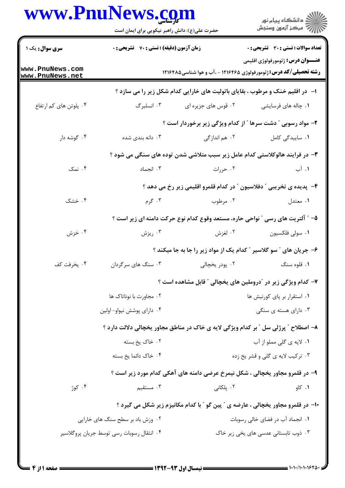## www.PnuNews.com

|                                    | www.PnuNews.com<br>حضرت علی(ع): دانش راهبر نیکویی برای ایمان است                                                     |                            | ڪ دانشڪاه پيا <sub>م</sub> نور<br>۾ سرڪز آزمون وسنڊش                               |  |
|------------------------------------|----------------------------------------------------------------------------------------------------------------------|----------------------------|------------------------------------------------------------------------------------|--|
| <b>سری سوال :</b> یک ۱             | زمان آزمون (دقیقه) : تستی : 70 گشریحی : 0                                                                            |                            | <b>تعداد سوالات : تستی : 30 ٪ تشریحی : 0</b>                                       |  |
| www.PnuNews.com<br>www.PnuNews.net | <b>عنـــوان درس:</b> ژئومورفولوژي اقليمي<br><b>رشته تحصیلی/کد درس:</b> ژئومورفولوژی ۱۲۱۶۴۶۵ - ،آب و هوا شناسی۱۲۱۶۴۸۵ |                            |                                                                                    |  |
|                                    |                                                                                                                      |                            | ا- در اقلیم خنک و مرطوب ، بقایای باتولیت های خارایی کدام شکل زیر را می سازد ؟      |  |
| ۰۴ پلوتن های کم ارتفاع             | ۰۳ انسلبرگ                                                                                                           | ۰۲ قوس های جزیره ای        | ۰۱ چاله های فرسایشی                                                                |  |
|                                    |                                                                                                                      |                            | ۲- مواد رسوبی ″ دشت سرها ″ از کدام ویژگی زیر برخوردار است ؟                        |  |
| ۰۴ گوشه دار                        | ۰۳ دانه بندی شده                                                                                                     | ۰۲ هم اندازگی              | ٠١ ساييدگى كامل                                                                    |  |
|                                    |                                                                                                                      |                            | ۳- در فرایند هالوکلاستی کدام عامل زیر سبب متلاشی شدن توده های سنگی می شود ؟        |  |
| ۰۴ نمک                             | ۰۳ انجماد                                                                                                            | ۰۲ حررات                   | ۱. آب                                                                              |  |
|                                    |                                                                                                                      |                            | ۴- پدیده ی تخریبی ″ دفلاسیون ″ در کدام قلمرو اقلیمی زیر رخ می دهد ؟                |  |
| ۰۴ خشک                             | ۰۳ گرم                                                                                                               | ۰۲ مرطوب                   | ۰۱ معتدل                                                                           |  |
|                                    |                                                                                                                      |                            | ۵– ″ آلتریت های رسی ″ نواحی حاره، مستعد وقوع کدام نوع حرکت دامنه ای زیر است ؟      |  |
| ۰۴ خزش                             | ۰۳ ریزش                                                                                                              | ۰۲ لغزش                    | ٠١ سولى فلكسيون                                                                    |  |
|                                    |                                                                                                                      |                            | ۶– جریان های " سو گلاسیر " کدام یک از مواد زیر را جا به جا میکند ؟                 |  |
| ۰۴ يخرفت كف                        | ۰۳ سنگ های سرگردان                                                                                                   | ۰۲ پودر یخچال <sub>ی</sub> | ۰۱ قلوه سنگ                                                                        |  |
|                                    |                                                                                                                      |                            | ۷– کدام ویژگی زیر در آدروملین های یخچالی ″ قابل مشاهده است ؟                       |  |
|                                    | ۰۲ مجاورت با نوناتاک ها                                                                                              |                            | ۰۱ استقرار بر پای کورنیش ها                                                        |  |
|                                    | ۰۴ دارای پوشش نیواو– اولین                                                                                           |                            | ۰۳ دارای هسته ی سنگی                                                               |  |
|                                    |                                                                                                                      |                            | ۸- اصطلاح ″ پرژلی سل ″ بر کدام ویژگی لایه ی خاک در مناطق مجاور یخچالی دلالت دارد ؟ |  |
|                                    | ۰۲ خاک یخ بسته                                                                                                       |                            | ۰۱ لايه ي گلي مملو از آب                                                           |  |
|                                    | ۰۴ خاک دائما یخ بسته                                                                                                 |                            | ۰۳ ترکیب لایه ی گلی و قشر یخ زده                                                   |  |
|                                    | ۹- در قلمرو مجاور یخچالی ، شکل نیمرخ عرضی دامنه های آهکی کدام مورد زیر است ؟                                         |                            |                                                                                    |  |
| ۰۴ کوژ                             | ۰۳ مستقیم                                                                                                            | ۰۲ پلکان <i>ی</i>          | ۰۱ کاو                                                                             |  |
|                                    |                                                                                                                      |                            | ۱۰- در قلمرو مجاور یخچالی ، عارضه ی ″ پین گو ″ با کدام مکانیزم زیر شکل می گیرد ؟   |  |
|                                    | ۰۲ وزش باد بر سطح سنگ های خارایی                                                                                     |                            | ۰۱ انجماد آب در فضای خالی رسوبات                                                   |  |
|                                    | ۰۴ انتقال رسوبات رسی توسط جریان پروگلاسیر                                                                            |                            | ۰۳ ذوب تابستانی عدسی های یخی زیر خاک                                               |  |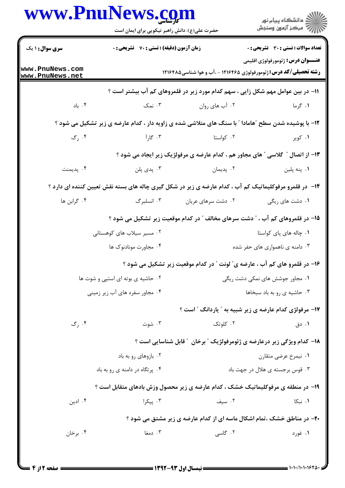| www.PnuNews.com                           | حضرت علی(ع): دانش راهبر نیکویی برای ایمان است |                    | ر دانشگاه پيام نور<br>دانشگاه پيام نور                                                                               |
|-------------------------------------------|-----------------------------------------------|--------------------|----------------------------------------------------------------------------------------------------------------------|
| <b>سری سوال : ۱ یک</b>                    | زمان آزمون (دقیقه) : تستی : 70 گشریحی : 0     |                    | <b>تعداد سوالات : تستی : 30 ٪ تشریحی : 0</b>                                                                         |
| www.PnuNews.com<br><u>www.PnuNews.net</u> |                                               |                    | <b>عنـــوان درس:</b> ژئومورفولوژي اقليمي<br><b>رشته تحصیلی/کد درس:</b> ژئومورفولوژی ۱۲۱۶۴۶۵ - .آب و هوا شناسی1۲۱۶۴۸۵ |
|                                           |                                               |                    | 1۱– در بین عوامل مهم شکل زایی ، سهم کدام مورد زیر در قلمروهای کم آب بیشتر است ؟                                      |
| ۰۴ باد                                    | ۰۳ نمک                                        | ۰۲ آب های روان     | ۰۱ گرما                                                                                                              |
|                                           |                                               |                    | ۱۲- با پوشیده شدن سطح "هامادا " با سنگ های متلاشی شده ی زاویه دار ، کدام عارضه ی زیر تشکیل می شود ؟                  |
| ۰۴ رگ                                     | ۰۳ گارآ                                       | ۰۲ کواستا          | ۰۱ کویر                                                                                                              |
|                                           |                                               |                    | ۱۳- از اتصال ″ گلاسی ″ های مجاور هم ، کدام عارضه ی مرفولژیک زیر ایجاد می شود ؟                                       |
| ۰۴ پدیمنت                                 | ۰۳ پدی پلن                                    | ۰۲ پدیمان          | ۰۱ پنه پلين                                                                                                          |
|                                           |                                               |                    | ۱۴- در قلمرو مرفوکلیماتیک کم آب ، کدام عارضه ی زیر در شکل گیری چاله های بسته نقش تعیین کننده ای دارد ؟               |
| ۰۴ گرابن ها                               | ۰۳ انسلبرگ                                    | ۰۲ دشت سرهای عریان | ۰۱ دشت های ریگی                                                                                                      |
|                                           |                                               |                    | ۱۵– در قلمروهای کم آب ، " دشت سرهای مخالف " در کدام موقعیت زیر تشکیل می شود ؟                                        |
|                                           | ۰۲ مسیر سیلاب های کوهستانی                    |                    | ۰۱ چاله های پای کواستا                                                                                               |
|                                           | ۰۴ مجاورت مونادنوک ها                         |                    | ۰۳ دامنه ی ناهمواری های حفر شده                                                                                      |
|                                           |                                               |                    | ۱۶- در قلمرو های کم آب ، عارضه ی ؒ لونت  ؒ در کدام موقعیت زیر تشکیل می شود ؟                                         |
|                                           | ۰۲ حاشیه ی بوته ای استپی و شوت ها             |                    | ۰۱ مجاور جوشش های نمکی دشت ریگی                                                                                      |
|                                           | ۰۴ مجاور سفره های آب زیر زمینی                |                    | ۰۳ حاشیه ی رو به باد سبخاها                                                                                          |
|                                           |                                               |                    | ۱۷- مرفولژی کدام عارضه ی زیر شبیه به ″ پاردانگ ″ است ؟                                                               |
| ۰۴ گ                                      | ۰۳ شوت                                        | ۰۲ کلوتک           | ۰۱ دق                                                                                                                |
|                                           |                                               |                    | ۱۸- کدام ویژگی زیر درعارضه ی ژئومرفولژیک ″ برخان ″ قابل شناسایی است ؟                                                |
|                                           | ۰۲ بازوهای رو به باد                          |                    | ۰۱ نیمرخ عرضی متقارن                                                                                                 |
|                                           | ۰۴ پرتگاه در دامنه ی رو به باد                |                    | ۰۳ قوس برجسته ی هلال در جهت باد                                                                                      |
|                                           |                                               |                    | ۱۹- در منطقه ی مرفوکلیماتیک خشک ، کدام عارضه ی زیر محصول وزش بادهای متقابل است ؟                                     |
| ۰۴ ادین                                   | ۰۳ پیکرا                                      | ۰۲ سیف             | ۰۱ نبکا                                                                                                              |
|                                           |                                               |                    | <b>۲۰</b> - در مناطق خشک ،تمام اشکال ماسه ای از کدام عارضه ی زیر مشتق می شود ؟                                       |
| ۰۴ برخان                                  | ۰۳ دمغا                                       | ۰۲ گاسی            | ۰۱ غورد                                                                                                              |
|                                           |                                               |                    |                                                                                                                      |

1.1.1.1.1620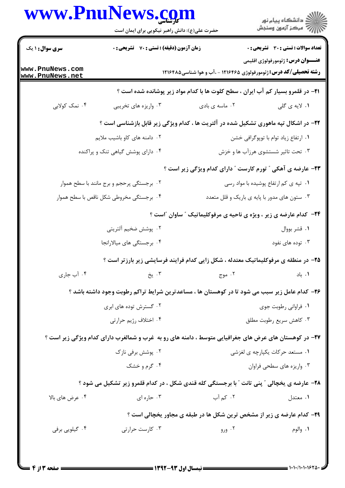|                                    | www.PnuNews.com<br>حضرت علی(ع): دانش راهبر نیکویی برای ایمان است                                      |                | ِ<br>∭ دانشڪاه پيام نور<br>∭ مرڪز آزمون وسنڊش                                                                         |
|------------------------------------|-------------------------------------------------------------------------------------------------------|----------------|-----------------------------------------------------------------------------------------------------------------------|
| <b>سری سوال : ۱ یک</b>             | زمان آزمون (دقیقه) : تستی : 70 ٪ تشریحی : 0                                                           |                | <b>تعداد سوالات : تستی : 30 ٪ تشریحی : 0</b>                                                                          |
| www.PnuNews.com<br>www.PnuNews.net |                                                                                                       |                | <b>عنـــوان درس:</b> ژئومورفولوژي اقليمي<br><b>رشته تحصیلی/کد درس:</b> ژئومورفولوژی ۱۲۱۶۴۶۵ - ،آب و هوا شناسی ۱۲۱۶۴۸۵ |
|                                    |                                                                                                       |                | <b>۲۱</b> - در قلمرو بسیار کم آب ایران ، سطح کلوت ها با کدام مواد زیر پوشانده شده است ؟                               |
| ۰۴ نمک کولابی                      | ۰۳ واریزه های تخریبی                                                                                  | ۰۲ ماسه ی بادی | ۰۱ لایه ی گلی                                                                                                         |
|                                    | ۲۲- در اشکال تپه ماهوری تشکیل شده در آلتریت ها ، کدام ویژگی زیر قابل بازشناسی است ؟                   |                |                                                                                                                       |
|                                    | ۲. دامنه های کاو باشیب ملایم                                                                          |                | ٠١ ارتفاع زياد توام با توپوگرافي خشن                                                                                  |
|                                    | ۰۴ دارای پوشش گیاهی تنک و پراکنده                                                                     |                | ۰۳ تحت تاثیر شستشوی هرزآب ها و خزش                                                                                    |
|                                    |                                                                                                       |                | <b>۲۳</b> - عارضه ی آهکی ″ تورم کارست ″ دارای کدام ویژگی زیر است ؟                                                    |
|                                    | ۰۲ برجستگی پرحجم و برج مانند با سطح هموار                                                             |                | ۰۱ تپه ی کم ارتفاع پوشیده با مواد رسی                                                                                 |
|                                    | ۰۴ برجستگی مخروطی شکل ناقص با سطح هموار                                                               |                | ۰۳ ستون های مدور با پایه ی باریک و قلل متعدد                                                                          |
|                                    |                                                                                                       |                | <b>۲۴</b> - کدام عارضه ی زیر ، ویژه ی ناحیه ی مرفوکلیماتیک ″ ساوان ″است ؟                                             |
|                                    | ۰۲ پوشش ضخیم آلتریتی                                                                                  |                | ۰۱ قشر بووال                                                                                                          |
|                                    | ۰۴ برجستگی های میالارانجا                                                                             |                | ۰۳ توده های نفود                                                                                                      |
|                                    | ۲۵– در منطقه ی مرفوکلیماتیک معتدله ، شکل زایی کدام فرایند فرسایشی زیر بارزتر است ؟                    |                |                                                                                                                       |
| ۰۴ آب جاری                         | ۰۳ پخ                                                                                                 | ۰۲ موج         | ٠١. باد                                                                                                               |
|                                    | ۲۶– کدام عامل زیر سبب می شود تا در کوهستان ها ، مساعدترین شرایط تراکم رطوبت وجود داشته باشد ؟         |                |                                                                                                                       |
|                                    | ۰۲ گسترش توده های ابری                                                                                |                | ۰۱ فراوانی رطوبت جوی                                                                                                  |
|                                    | ۰۴ اختلاف رژیم حرارتی                                                                                 |                | ۰۳ کاهش سریع رطوبت مطلق                                                                                               |
|                                    | ۲۷- در کوهستان های عرض های جغرافیایی متوسط ، دامنه های رو به غرب و شمالغرب دارای کدام ویژگی زیر است ؟ |                |                                                                                                                       |
|                                    | ۰۲ پوشش برفی نازک                                                                                     |                | ۰۱ مستعد حرکات یکپارچه ی لغزشی                                                                                        |
|                                    | ۰۴ گرم و خشک                                                                                          |                | ۰۳ واریزه های سطحی فراوان                                                                                             |
|                                    | <b>۲۸</b> - عارضه ی یخچالی ″ پنی تانت ″ با برجستگی کله قندی شکل ، در کدام قلمرو زیر تشکیل می شود ؟    |                |                                                                                                                       |
| ۰۴ عرض های بالا                    | ۰۳ حاره ای                                                                                            | ۰۲ کم آب       | ۰۱ معتدل                                                                                                              |
|                                    |                                                                                                       |                | <b>۲۹</b> - کدام عارضه ی زیر از مشخص ترین شکل ها در طبقه ی مجاور یخچالی است ؟                                         |
| ۰۴ گیلویی برفی                     | ۰۳ کارست حرارتی                                                                                       | ۰۲ ورو         | ۰۱ والوم                                                                                                              |
|                                    |                                                                                                       |                |                                                                                                                       |

1.1.1.1.1620